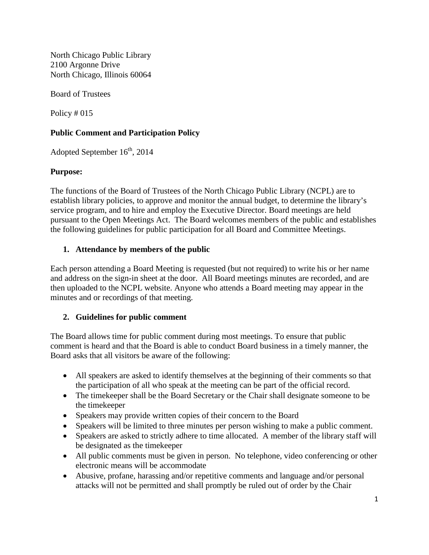North Chicago Public Library 2100 Argonne Drive North Chicago, Illinois 60064

Board of Trustees

Policy # 015

# **Public Comment and Participation Policy**

Adopted September  $16<sup>th</sup>$ , 2014

### **Purpose:**

The functions of the Board of Trustees of the North Chicago Public Library (NCPL) are to establish library policies, to approve and monitor the annual budget, to determine the library's service program, and to hire and employ the Executive Director. Board meetings are held pursuant to the Open Meetings Act. The Board welcomes members of the public and establishes the following guidelines for public participation for all Board and Committee Meetings.

## **1. Attendance by members of the public**

Each person attending a Board Meeting is requested (but not required) to write his or her name and address on the sign-in sheet at the door. All Board meetings minutes are recorded, and are then uploaded to the NCPL website. Anyone who attends a Board meeting may appear in the minutes and or recordings of that meeting.

# **2. Guidelines for public comment**

The Board allows time for public comment during most meetings. To ensure that public comment is heard and that the Board is able to conduct Board business in a timely manner, the Board asks that all visitors be aware of the following:

- All speakers are asked to identify themselves at the beginning of their comments so that the participation of all who speak at the meeting can be part of the official record.
- The time keeper shall be the Board Secretary or the Chair shall designate someone to be the timekeeper
- Speakers may provide written copies of their concern to the Board
- Speakers will be limited to three minutes per person wishing to make a public comment.
- Speakers are asked to strictly adhere to time allocated. A member of the library staff will be designated as the timekeeper
- All public comments must be given in person. No telephone, video conferencing or other electronic means will be accommodate
- Abusive, profane, harassing and/or repetitive comments and language and/or personal attacks will not be permitted and shall promptly be ruled out of order by the Chair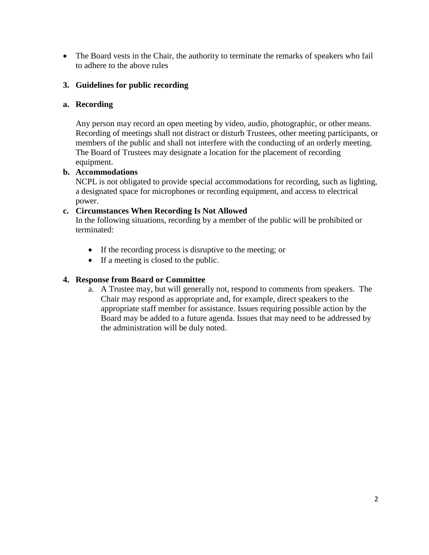• The Board vests in the Chair, the authority to terminate the remarks of speakers who fail to adhere to the above rules

## **3. Guidelines for public recording**

#### **a. Recording**

Any person may record an open meeting by video, audio, photographic, or other means. Recording of meetings shall not distract or disturb Trustees, other meeting participants, or members of the public and shall not interfere with the conducting of an orderly meeting. The Board of Trustees may designate a location for the placement of recording equipment.

# **b. Accommodations**

NCPL is not obligated to provide special accommodations for recording, such as lighting, a designated space for microphones or recording equipment, and access to electrical power.

#### **c. Circumstances When Recording Is Not Allowed**

In the following situations, recording by a member of the public will be prohibited or terminated:

- If the recording process is disruptive to the meeting; or
- If a meeting is closed to the public.

#### **4. Response from Board or Committee**

a. A Trustee may, but will generally not, respond to comments from speakers. The Chair may respond as appropriate and, for example, direct speakers to the appropriate staff member for assistance. Issues requiring possible action by the Board may be added to a future agenda. Issues that may need to be addressed by the administration will be duly noted.